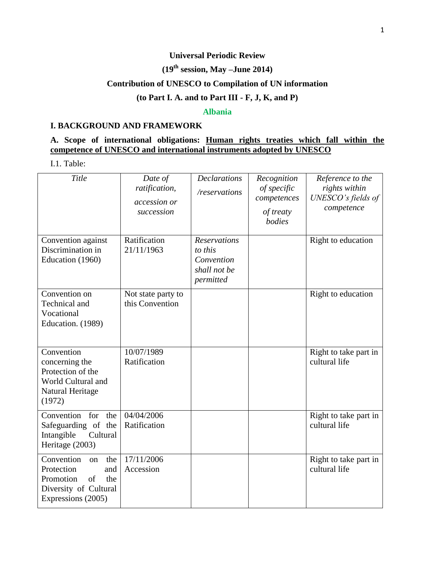### **Universal Periodic Review**

# **(19 th session, May –June 2014)**

# **Contribution of UNESCO to Compilation of UN information**

### **(to Part I. A. and to Part III - F, J, K, and P)**

#### **Albania**

### **I. BACKGROUND AND FRAMEWORK**

### **A. Scope of international obligations: Human rights treaties which fall within the competence of UNESCO and international instruments adopted by UNESCO**

I.1. Table:

| Title                                                                                                                 | Date of<br>ratification,<br>accession or<br>succession | <b>Declarations</b><br>/reservations                                      | Recognition<br>of specific<br>competences<br>of treaty<br>bodies | Reference to the<br>rights within<br>UNESCO's fields of<br>competence |
|-----------------------------------------------------------------------------------------------------------------------|--------------------------------------------------------|---------------------------------------------------------------------------|------------------------------------------------------------------|-----------------------------------------------------------------------|
| Convention against<br>Discrimination in<br>Education (1960)                                                           | Ratification<br>21/11/1963                             | <b>Reservations</b><br>to this<br>Convention<br>shall not be<br>permitted |                                                                  | Right to education                                                    |
| Convention on<br>Technical and<br>Vocational<br>Education. (1989)                                                     | Not state party to<br>this Convention                  |                                                                           |                                                                  | Right to education                                                    |
| Convention<br>concerning the<br>Protection of the<br>World Cultural and<br>Natural Heritage<br>(1972)                 | 10/07/1989<br>Ratification                             |                                                                           |                                                                  | Right to take part in<br>cultural life                                |
| Convention<br>for<br>the<br>Safeguarding of the<br>Intangible<br>Cultural<br>Heritage (2003)                          | 04/04/2006<br>Ratification                             |                                                                           |                                                                  | Right to take part in<br>cultural life                                |
| Convention<br>the<br>on<br>Protection<br>and<br>Promotion<br>of<br>the<br>Diversity of Cultural<br>Expressions (2005) | 17/11/2006<br>Accession                                |                                                                           |                                                                  | Right to take part in<br>cultural life                                |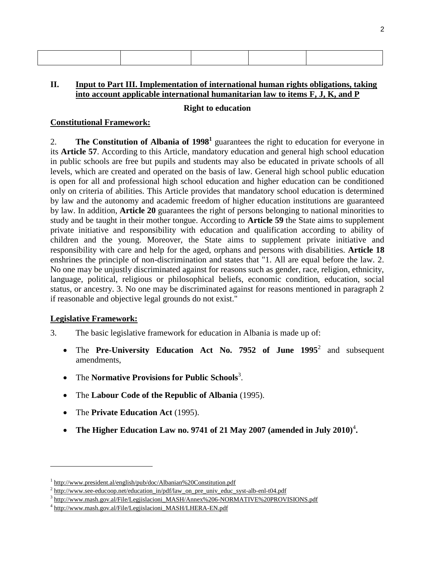### **II. Input to Part III. Implementation of international human rights obligations, taking into account applicable international humanitarian law to items F, J, K, and P**

#### **Right to education**

#### **Constitutional Framework:**

2. **The Constitution of Albania of 1998<sup>1</sup>** guarantees the right to education for everyone in its **Article 57**. According to this Article, mandatory education and general high school education in public schools are free but pupils and students may also be educated in private schools of all levels, which are created and operated on the basis of law. General high school public education is open for all and professional high school education and higher education can be conditioned only on criteria of abilities. This Article provides that mandatory school education is determined by law and the autonomy and academic freedom of higher education institutions are guaranteed by law. In addition, **Article 20** guarantees the right of persons belonging to national minorities to study and be taught in their mother tongue. According to **Article 59** the State aims to supplement private initiative and responsibility with education and qualification according to ability of children and the young. Moreover, the State aims to supplement private initiative and responsibility with care and help for the aged, orphans and persons with disabilities. **Article 18** enshrines the principle of non-discrimination and states that "1. All are equal before the law. 2. No one may be unjustly discriminated against for reasons such as gender, race, religion, ethnicity, language, political, religious or philosophical beliefs, economic condition, education, social status, or ancestry. 3. No one may be discriminated against for reasons mentioned in paragraph 2 if reasonable and objective legal grounds do not exist."

### **Legislative Framework:**

l

- 3. The basic legislative framework for education in Albania is made up of:
	- The Pre-University Education Act No. 7952 of June 1995<sup>2</sup> and subsequent amendments,
	- The **Normative Provisions for Public Schools**<sup>3</sup> .
	- The **Labour Code of the Republic of Albania** (1995).
	- The **Private Education Act** (1995).
	- The Higher Education Law no. 9741 of 21 May 2007 (amended in July 2010)<sup>4</sup>.

<sup>&</sup>lt;sup>1</sup> <http://www.president.al/english/pub/doc/Albanian%20Constitution.pdf>

 $^2$  [http://www.see-educoop.net/education\\_in/pdf/law\\_on\\_pre\\_univ\\_educ\\_syst-alb-enl-t04.pdf](http://www.see-educoop.net/education_in/pdf/law_on_pre_univ_educ_syst-alb-enl-t04.pdf)

<sup>3</sup> [http://www.mash.gov.al/File/Legjislacioni\\_MASH/Annex%206-NORMATIVE%20PROVISIONS.pdf](http://www.mash.gov.al/File/Legjislacioni_MASH/Annex%206-NORMATIVE%20PROVISIONS.pdf)

<sup>&</sup>lt;sup>4</sup> [http://www.mash.gov.al/File/Legjislacioni\\_MASH/LHERA-EN.pdf](http://www.mash.gov.al/File/Legjislacioni_MASH/LHERA-EN.pdf)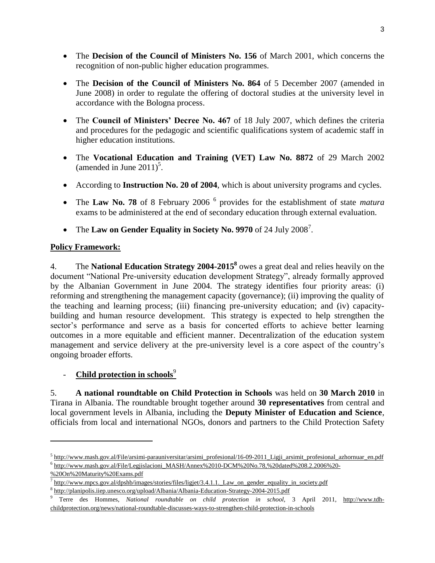- The **Decision of the Council of Ministers No. 156** of March 2001, which concerns the recognition of non-public higher education programmes.
- The **Decision of the Council of Ministers No. 864** of 5 December 2007 (amended in June 2008) in order to regulate the offering of doctoral studies at the university level in accordance with the Bologna process.
- The **Council of Ministers' Decree No. 467** of 18 July 2007, which defines the criteria and procedures for the pedagogic and scientific qualifications system of academic staff in higher education institutions.
- The **Vocational Education and Training (VET) Law No. 8872** of 29 March 2002 (amended in June  $2011$ )<sup>5</sup>.
- According to **Instruction No. 20 of 2004**, which is about university programs and cycles.
- The Law No. 78 of 8 February 2006<sup>6</sup> provides for the establishment of state *matura* exams to be administered at the end of secondary education through external evaluation.
- The Law on Gender Equality in Society No. 9970 of 24 July 2008<sup>7</sup>.

# **Policy Framework:**

4. The **National Education Strategy 2004-2015<sup>8</sup>** owes a great deal and relies heavily on the document "National Pre-university education development Strategy", already formally approved by the Albanian Government in June 2004. The strategy identifies four priority areas: (i) reforming and strengthening the management capacity (governance); (ii) improving the quality of the teaching and learning process; (iii) financing pre-university education; and (iv) capacitybuilding and human resource development. This strategy is expected to help strengthen the sector's performance and serve as a basis for concerted efforts to achieve better learning outcomes in a more equitable and efficient manner. Decentralization of the education system management and service delivery at the pre-university level is a core aspect of the country's ongoing broader efforts.

# **Child protection in schools**<sup>9</sup>

5. **A national roundtable on Child Protection in Schools** was held on **30 March 2010** in Tirana in Albania. The roundtable brought together around **30 representatives** from central and local government levels in Albania, including the **Deputy Minister of Education and Science**, officials from local and international NGOs, donors and partners to the Child Protection Safety

l

 $^5$ [http://www.mash.gov.al/File/arsimi-parauniversitar/arsimi\\_profesional/16-09-2011\\_Ligji\\_arsimit\\_profesional\\_azhornuar\\_en.pdf](http://www.mash.gov.al/File/arsimi-parauniversitar/arsimi_profesional/16-09-2011_Ligji_arsimit_profesional_azhornuar_en.pdf) 6 [http://www.mash.gov.al/File/Legjislacioni\\_MASH/Annex%2010-DCM%20No.78,%20dated%208.2.2006%20-](http://www.mash.gov.al/File/Legjislacioni_MASH/Annex%2010-DCM%20No.78,%20dated%208.2.2006%20-%20On%20Maturity%20Exams.pdf)

[<sup>%20</sup>On%20Maturity%20Exams.pdf](http://www.mash.gov.al/File/Legjislacioni_MASH/Annex%2010-DCM%20No.78,%20dated%208.2.2006%20-%20On%20Maturity%20Exams.pdf)

<sup>&</sup>lt;sup>7</sup> http://www.mpcs.gov.al/dpshb/images/stories/files/ligjet/3.4.1.1. Law\_on\_gender\_equality\_in\_society.pdf

<sup>&</sup>lt;sup>8</sup> <http://planipolis.iiep.unesco.org/upload/Albania/Albania-Education-Strategy-2004-2015.pdf>

<sup>9</sup> Terre des Hommes, *National roundtable on child protection in school,* 3 April 2011, [http://www.tdh](http://www.tdh-childprotection.org/news/national-roundtable-discusses-ways-to-strengthen-child-protection-in-schools)[childprotection.org/news/national-roundtable-discusses-ways-to-strengthen-child-protection-in-schools](http://www.tdh-childprotection.org/news/national-roundtable-discusses-ways-to-strengthen-child-protection-in-schools)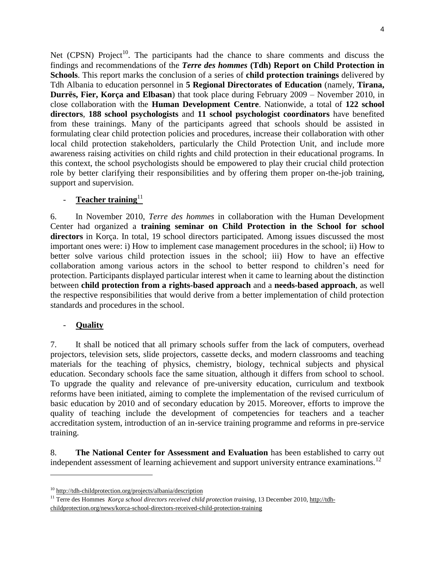Net  $(CPSN)$  Project<sup>10</sup>. The participants had the chance to share comments and discuss the findings and recommendations of the *Terre des hommes* **(Tdh) Report on Child Protection in Schools**. This report marks the conclusion of a series of **child protection trainings** delivered by Tdh Albania to education personnel in **5 Regional Directorates of Education** (namely, **Tirana, Durrës, Fier, Korça and Elbasan**) that took place during February 2009 – November 2010, in close collaboration with the **Human Development Centre**. Nationwide, a total of **122 school directors**, **188 school psychologists** and **11 school psychologist coordinators** have benefited from these trainings. Many of the participants agreed that schools should be assisted in formulating clear child protection policies and procedures, increase their collaboration with other local child protection stakeholders, particularly the Child Protection Unit, and include more awareness raising activities on child rights and child protection in their educational programs. In this context, the school psychologists should be empowered to play their crucial child protection role by better clarifying their responsibilities and by offering them proper on-the-job training, support and supervision.

# Teacher training<sup>11</sup>

6. In November 2010, *Terre des hommes* in collaboration with the Human Development Center had organized a **training seminar on Child Protection in the School for school directors** in Korça. In total, 19 school directors participated. Among issues discussed the most important ones were: i) How to implement case management procedures in the school; ii) How to better solve various child protection issues in the school; iii) How to have an effective collaboration among various actors in the school to better respond to children's need for protection. Participants displayed particular interest when it came to learning about the distinction between **child protection from a rights-based approach** and a **needs-based approach**, as well the respective responsibilities that would derive from a better implementation of child protection standards and procedures in the school.

### - **Quality**

l

7. It shall be noticed that all primary schools suffer from the lack of computers, overhead projectors, television sets, slide projectors, cassette decks, and modern classrooms and teaching materials for the teaching of physics, chemistry, biology, technical subjects and physical education. Secondary schools face the same situation, although it differs from school to school. To upgrade the quality and relevance of pre-university education, curriculum and textbook reforms have been initiated, aiming to complete the implementation of the revised curriculum of basic education by 2010 and of secondary education by 2015. Moreover, efforts to improve the quality of teaching include the development of competencies for teachers and a teacher accreditation system, introduction of an in-service training programme and reforms in pre-service training.

8. **The National Center for Assessment and Evaluation** has been established to carry out independent assessment of learning achievement and support university entrance examinations.<sup>12</sup>

<sup>10</sup> <http://tdh-childprotection.org/projects/albania/description>

<sup>&</sup>lt;sup>11</sup> Terre des Hommes *Korça school directors received child protection training*, 13 December 2010, [http://tdh](http://tdh-childprotection.org/news/korca-school-directors-received-child-protection-training)[childprotection.org/news/korca-school-directors-received-child-protection-training](http://tdh-childprotection.org/news/korca-school-directors-received-child-protection-training)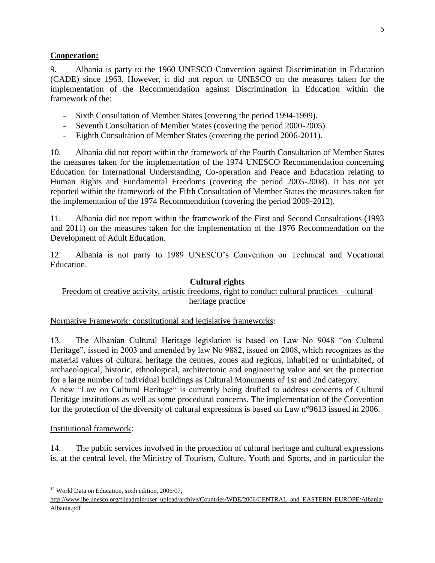### **Cooperation:**

9. Albania is party to the 1960 UNESCO Convention against Discrimination in Education (CADE) since 1963. However, it did not report to UNESCO on the measures taken for the implementation of the Recommendation against Discrimination in Education within the framework of the:

- Sixth Consultation of Member States (covering the period 1994-1999).
- Seventh Consultation of Member States (covering the period 2000-2005).
- Eighth Consultation of Member States (covering the period 2006-2011).

10. Albania did not report within the framework of the Fourth Consultation of Member States the measures taken for the implementation of the 1974 UNESCO Recommendation concerning Education for International Understanding, Co-operation and Peace and Education relating to Human Rights and Fundamental Freedoms (covering the period 2005-2008). It has not yet reported within the framework of the Fifth Consultation of Member States the measures taken for the implementation of the 1974 Recommendation (covering the period 2009-2012).

11. Albania did not report within the framework of the First and Second Consultations (1993 and 2011) on the measures taken for the implementation of the 1976 Recommendation on the Development of Adult Education.

12. Albania is not party to 1989 UNESCO's Convention on Technical and Vocational Education.

### **Cultural rights**

### Freedom of creative activity, artistic freedoms, right to conduct cultural practices – cultural heritage practice

### Normative Framework: constitutional and legislative frameworks:

13. The Albanian Cultural Heritage legislation is based on Law No 9048 "on Cultural Heritage", issued in 2003 and amended by law No 9882, issued on 2008, which recognizes as the material values of cultural heritage the centres, zones and regions, inhabited or uninhabited, of archaeological, historic, ethnological, architectonic and engineering value and set the protection for a large number of individual buildings as Cultural Monuments of 1st and 2nd category. A new "Law on Cultural Heritage" is currently being drafted to address concerns of Cultural Heritage institutions as well as some procedural concerns. The implementation of the Convention for the protection of the diversity of cultural expressions is based on Law n°9613 issued in 2006.

### Institutional framework:

l

14. The public services involved in the protection of cultural heritage and cultural expressions is, at the central level, the Ministry of Tourism, Culture, Youth and Sports, and in particular the

<sup>&</sup>lt;sup>12</sup> World Data on Education, sixth edition, 2006/07,

[http://www.ibe.unesco.org/fileadmin/user\\_upload/archive/Countries/WDE/2006/CENTRAL\\_and\\_EASTERN\\_EUROPE/Albania/](http://www.ibe.unesco.org/fileadmin/user_upload/archive/Countries/WDE/2006/CENTRAL_and_EASTERN_EUROPE/Albania/Albania.pdf) [Albania.pdf](http://www.ibe.unesco.org/fileadmin/user_upload/archive/Countries/WDE/2006/CENTRAL_and_EASTERN_EUROPE/Albania/Albania.pdf)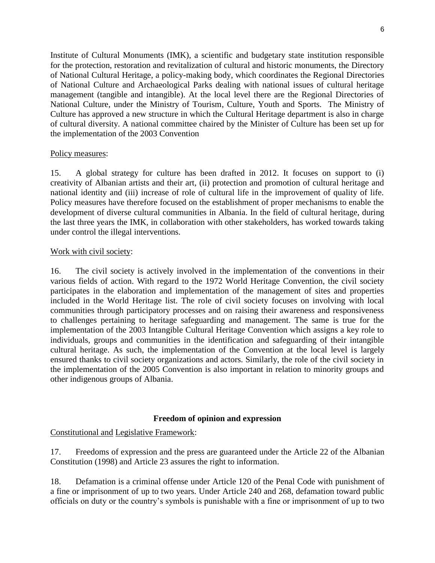Institute of Cultural Monuments (IMK), a scientific and budgetary state institution responsible for the protection, restoration and revitalization of cultural and historic monuments, the Directory of National Cultural Heritage, a policy-making body, which coordinates the Regional Directories of National Culture and Archaeological Parks dealing with national issues of cultural heritage management (tangible and intangible). At the local level there are the Regional Directories of National Culture, under the Ministry of Tourism, Culture, Youth and Sports. The Ministry of Culture has approved a new structure in which the Cultural Heritage department is also in charge of cultural diversity. A national committee chaired by the Minister of Culture has been set up for the implementation of the 2003 Convention

#### Policy measures:

15. A global strategy for culture has been drafted in 2012. It focuses on support to (i) creativity of Albanian artists and their art, (ii) protection and promotion of cultural heritage and national identity and (iii) increase of role of cultural life in the improvement of quality of life. Policy measures have therefore focused on the establishment of proper mechanisms to enable the development of diverse cultural communities in Albania. In the field of cultural heritage, during the last three years the IMK, in collaboration with other stakeholders, has worked towards taking under control the illegal interventions.

#### Work with civil society:

16. The civil society is actively involved in the implementation of the conventions in their various fields of action. With regard to the 1972 World Heritage Convention, the civil society participates in the elaboration and implementation of the management of sites and properties included in the World Heritage list. The role of civil society focuses on involving with local communities through participatory processes and on raising their awareness and responsiveness to challenges pertaining to heritage safeguarding and management. The same is true for the implementation of the 2003 Intangible Cultural Heritage Convention which assigns a key role to individuals, groups and communities in the identification and safeguarding of their intangible cultural heritage. As such, the implementation of the Convention at the local level is largely ensured thanks to civil society organizations and actors. Similarly, the role of the civil society in the implementation of the 2005 Convention is also important in relation to minority groups and other indigenous groups of Albania.

### **Freedom of opinion and expression**

Constitutional and Legislative Framework:

17. Freedoms of expression and the press are guaranteed under the Article 22 of the Albanian Constitution (1998) and Article 23 assures the right to information.

18. Defamation is a criminal offense under Article 120 of the Penal Code with punishment of a fine or imprisonment of up to two years. Under Article 240 and 268, defamation toward public officials on duty or the country's symbols is punishable with a fine or imprisonment of up to two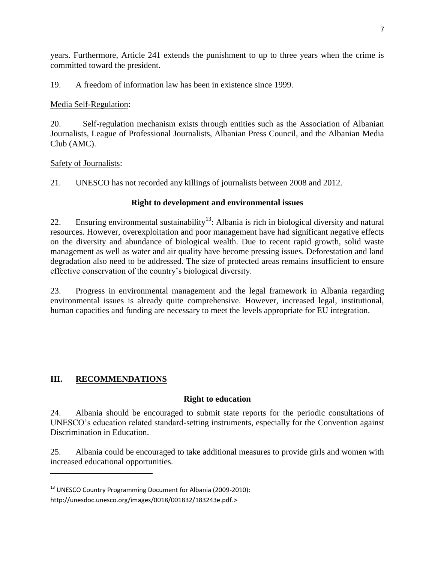years. Furthermore, Article 241 extends the punishment to up to three years when the crime is committed toward the president.

19. A freedom of information law has been in existence since 1999.

# Media Self-Regulation:

20. Self-regulation mechanism exists through entities such as the Association of Albanian Journalists, League of Professional Journalists, Albanian Press Council, and the Albanian Media Club (AMC).

### Safety of Journalists:

21. UNESCO has not recorded any killings of journalists between 2008 and 2012.

# **Right to development and environmental issues**

22. Ensuring environmental sustainability<sup>13</sup>: Albania is rich in biological diversity and natural resources. However, overexploitation and poor management have had significant negative effects on the diversity and abundance of biological wealth. Due to recent rapid growth, solid waste management as well as water and air quality have become pressing issues. Deforestation and land degradation also need to be addressed. The size of protected areas remains insufficient to ensure effective conservation of the country's biological diversity.

23. Progress in environmental management and the legal framework in Albania regarding environmental issues is already quite comprehensive. However, increased legal, institutional, human capacities and funding are necessary to meet the levels appropriate for EU integration.

# **III. RECOMMENDATIONS**

 $\overline{\phantom{a}}$ 

# **Right to education**

24. Albania should be encouraged to submit state reports for the periodic consultations of UNESCO's education related standard-setting instruments, especially for the Convention against Discrimination in Education.

25. Albania could be encouraged to take additional measures to provide girls and women with increased educational opportunities.

<sup>&</sup>lt;sup>13</sup> UNESCO Country Programming Document for Albania (2009-2010):

http://unesdoc.unesco.org/images/0018/001832/183243e.pdf.>